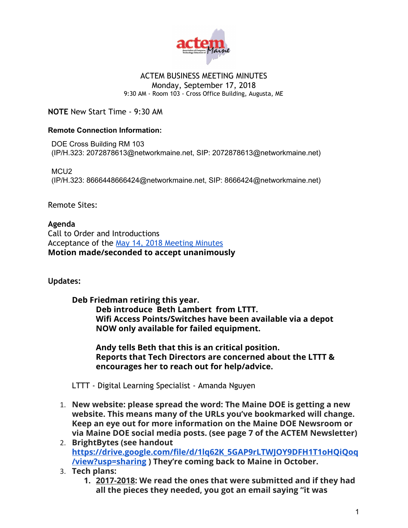

#### ACTEM BUSINESS MEETING MINUTES Monday, September 17, 2018

9:30 AM - Room 103 - Cross Office Building, Augusta, ME

**NOTE** New Start Time - 9:30 AM

#### **Remote Connection Information:**

DOE Cross Building RM 103 (IP/H.323: 2072878613@networkmaine.net, SIP: 2072878613@networkmaine.net)

MCU<sub>2</sub> (IP/H.323: 8666448666424@networkmaine.net, SIP: 8666424@networkmaine.net)

Remote Sites:

**Agenda** Call to Order and Introductions Acceptance of the [May 14, 2018 Meeting Minutes](https://docs.google.com/document/d/1PEJnpTDFJiF8htXuN966vF4nb3aa1fG2Ne977kTY8v0/edit?usp=sharing) **Motion made/seconded to accept unanimously**

**Updates:**

**Deb Friedman retiring this year. Deb introduce Beth Lambert from LTTT. Wifi Access Points/Switches have been available via a depot NOW only available for failed equipment.**

**Andy tells Beth that this is an critical position. Reports that Tech Directors are concerned about the LTTT & encourages her to reach out for help/advice.**

LTTT - Digital Learning Specialist - Amanda Nguyen

- 1. **New website: please spread the word: The Maine DOE is getting a new website. This means many of the URLs you've bookmarked will change. Keep an eye out for more information on the Maine DOE Newsroom or via Maine DOE social media posts. (see page 7 of the ACTEM Newsletter)**
- 2. **BrightBytes (see handout [https://drive.google.com/file/d/1lq62K\\_5GAP9rLTWJOY9DFH1T1oHQiQoq](https://drive.google.com/file/d/1lq62K_5GAP9rLTWJOY9DFH1T1oHQiQoq/view?usp=sharing) [/view?usp=sharing](https://drive.google.com/file/d/1lq62K_5GAP9rLTWJOY9DFH1T1oHQiQoq/view?usp=sharing) ) They're coming back to Maine in October.**
- 3. **Tech plans:**
	- **1. 2017-2018: We read the ones that were submitted and if they had all the pieces they needed, you got an email saying "it was**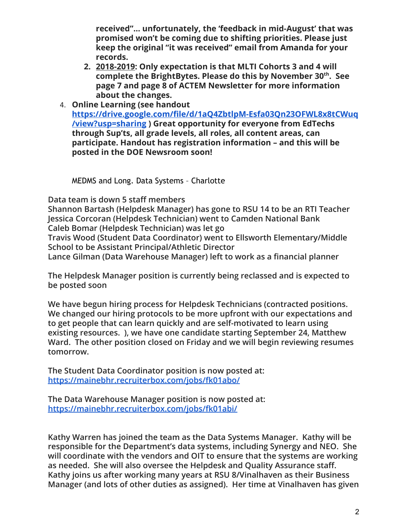**received"… unfortunately, the 'feedback in mid-August' that was promised won't be coming due to shifting priorities. Please just keep the original "it was received" email from Amanda for your records.**

- **2. 2018-2019: Only expectation is that MLTI Cohorts 3 and 4 will complete the BrightBytes. Please do this by November 30th . See page 7 and page 8 of ACTEM Newsletter for more information about the changes.**
- 4. **Online Learning (see handout [https://drive.google.com/file/d/1aQ4ZbtlpM-Esfa03Qn23OFWL8x8tCWuq](https://drive.google.com/file/d/1aQ4ZbtlpM-Esfa03Qn23OFWL8x8tCWuq/view?usp=sharing) [/view?usp=sharing](https://drive.google.com/file/d/1aQ4ZbtlpM-Esfa03Qn23OFWL8x8tCWuq/view?usp=sharing) ) Great opportunity for everyone from EdTechs through Sup'ts, all grade levels, all roles, all content areas, can participate. Handout has registration information – and this will be posted in the DOE Newsroom soon!**

MEDMS and Long. Data Systems – Charlotte

**Data team is down 5 staff members**

**Shannon Bartash (Helpdesk Manager) has gone to RSU 14 to be an RTI Teacher Jessica Corcoran (Helpdesk Technician) went to Camden National Bank Caleb Bomar (Helpdesk Technician) was let go**

**Travis Wood (Student Data Coordinator) went to Ellsworth Elementary/Middle School to be Assistant Principal/Athletic Director**

**Lance Gilman (Data Warehouse Manager) left to work as a financial planner**

**The Helpdesk Manager position is currently being reclassed and is expected to be posted soon**

**We have begun hiring process for Helpdesk Technicians (contracted positions. We changed our hiring protocols to be more upfront with our expectations and to get people that can learn quickly and are self-motivated to learn using existing resources. ), we have one candidate starting September 24, Matthew Ward. The other position closed on Friday and we will begin reviewing resumes tomorrow.**

**The Student Data Coordinator position is now posted at: <https://mainebhr.recruiterbox.com/jobs/fk01abo/>**

**The Data Warehouse Manager position is now posted at: <https://mainebhr.recruiterbox.com/jobs/fk01abi/>**

**Kathy Warren has joined the team as the Data Systems Manager. Kathy will be responsible for the Department's data systems, including Synergy and NEO. She will coordinate with the vendors and OIT to ensure that the systems are working as needed. She will also oversee the Helpdesk and Quality Assurance staff. Kathy joins us after working many years at RSU 8/Vinalhaven as their Business Manager (and lots of other duties as assigned). Her time at Vinalhaven has given**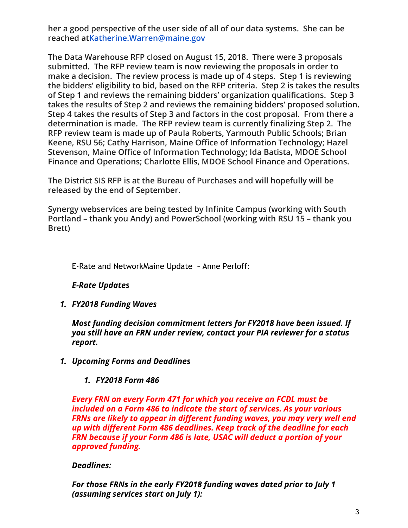**her a good perspective of the user side of all of our data systems. She can be reached atKatherine.Warren@maine.gov**

**The Data Warehouse RFP closed on August 15, 2018. There were 3 proposals submitted. The RFP review team is now reviewing the proposals in order to make a decision. The review process is made up of 4 steps. Step 1 is reviewing the bidders' eligibility to bid, based on the RFP criteria. Step 2 is takes the results of Step 1 and reviews the remaining bidders' organization qualifications. Step 3 takes the results of Step 2 and reviews the remaining bidders' proposed solution. Step 4 takes the results of Step 3 and factors in the cost proposal. From there a determination is made. The RFP review team is currently finalizing Step 2. The RFP review team is made up of Paula Roberts, Yarmouth Public Schools; Brian Keene, RSU 56; Cathy Harrison, Maine Office of Information Technology; Hazel Stevenson, Maine Office of Information Technology; Ida Batista, MDOE School Finance and Operations; Charlotte Ellis, MDOE School Finance and Operations.**

**The District SIS RFP is at the Bureau of Purchases and will hopefully will be released by the end of September.**

**Synergy webservices are being tested by Infinite Campus (working with South Portland – thank you Andy) and PowerSchool (working with RSU 15 – thank you Brett)**

E-Rate and NetworkMaine Update - Anne Perloff:

# *E-Rate Updates*

*1. FY2018 Funding Waves*

*Most funding decision commitment letters for FY2018 have been issued. If you still have an FRN under review, contact your PIA reviewer for a status report.*

*1. Upcoming Forms and Deadlines*

# *1. FY2018 Form 486*

*Every FRN on every Form 471 for which you receive an FCDL must be included on a Form 486 to indicate the start of services. As your various FRNs are likely to appear in different funding waves, you may very well end up with different Form 486 deadlines. Keep track of the deadline for each FRN because if your Form 486 is late, USAC will deduct a portion of your approved funding.*

# *Deadlines:*

*For those FRNs in the early FY2018 funding waves dated prior to July 1 (assuming services start on July 1):*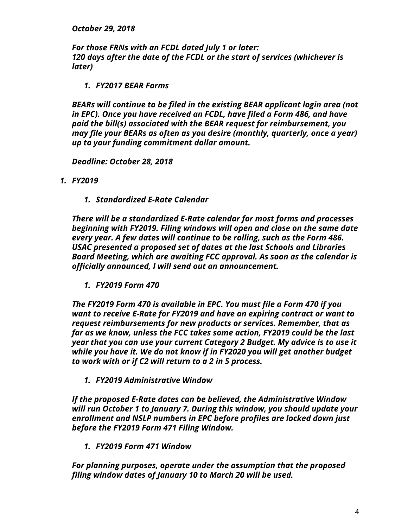*October 29, 2018*

*For those FRNs with an FCDL dated July 1 or later: 120 days after the date of the FCDL or the start of services (whichever is later)*

*1. FY2017 BEAR Forms*

*BEARs will continue to be filed in the existing BEAR applicant login area (not in EPC). Once you have received an FCDL, have filed a Form 486, and have paid the bill(s) associated with the BEAR request for reimbursement, you may file your BEARs as often as you desire (monthly, quarterly, once a year) up to your funding commitment dollar amount.*

*Deadline: October 28, 2018*

- *1. FY2019*
	- *1. Standardized E-Rate Calendar*

*There will be a standardized E-Rate calendar for most forms and processes beginning with FY2019. Filing windows will open and close on the same date every year. A few dates will continue to be rolling, such as the Form 486. USAC presented a proposed set of dates at the last Schools and Libraries Board Meeting, which are awaiting FCC approval. As soon as the calendar is officially announced, I will send out an announcement.*

*1. FY2019 Form 470*

*The FY2019 Form 470 is available in EPC. You must file a Form 470 if you want to receive E-Rate for FY2019 and have an expiring contract or want to request reimbursements for new products or services. Remember, that as far as we know, unless the FCC takes some action, FY2019 could be the last year that you can use your current Category 2 Budget. My advice is to use it while you have it. We do not know if in FY2020 you will get another budget to work with or if C2 will return to a 2 in 5 process.*

*1. FY2019 Administrative Window*

*If the proposed E-Rate dates can be believed, the Administrative Window will run October 1 to January 7. During this window, you should update your enrollment and NSLP numbers in EPC before profiles are locked down just before the FY2019 Form 471 Filing Window.*

*1. FY2019 Form 471 Window*

*For planning purposes, operate under the assumption that the proposed filing window dates of January 10 to March 20 will be used.*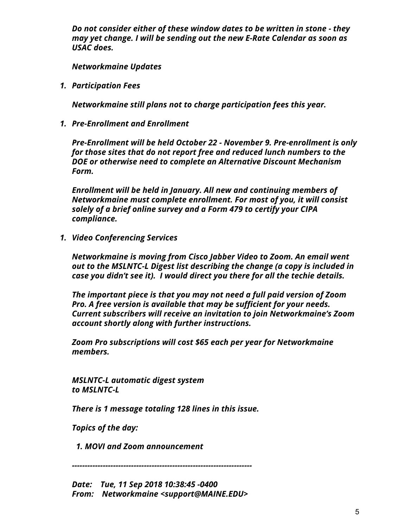*Do not consider either of these window dates to be written in stone - they may yet change. I will be sending out the new E-Rate Calendar as soon as USAC does.*

*Networkmaine Updates*

*1. Participation Fees*

*Networkmaine still plans not to charge participation fees this year.*

*1. Pre-Enrollment and Enrollment*

*Pre-Enrollment will be held October 22 - November 9. Pre-enrollment is only for those sites that do not report free and reduced lunch numbers to the DOE or otherwise need to complete an Alternative Discount Mechanism Form.*

*Enrollment will be held in January. All new and continuing members of Networkmaine must complete enrollment. For most of you, it will consist solely of a brief online survey and a Form 479 to certify your CIPA compliance.*

*1. Video Conferencing Services*

*Networkmaine is moving from Cisco Jabber Video to Zoom. An email went out to the MSLNTC-L Digest list describing the change (a copy is included in case you didn't see it). I would direct you there for all the techie details.*

*The important piece is that you may not need a full paid version of Zoom Pro. A free version is available that may be sufficient for your needs. Current subscribers will receive an invitation to join Networkmaine's Zoom account shortly along with further instructions.*

*Zoom Pro subscriptions will cost \$65 each per year for Networkmaine members.*

*MSLNTC-L automatic digest system to MSLNTC-L*

*There is 1 message totaling 128 lines in this issue.*

*Topics of the day:*

 *1. MOVI and Zoom announcement*

*----------------------------------------------------------------------*

*Date: Tue, 11 Sep 2018 10:38:45 -0400 From: Networkmaine <support@MAINE.EDU>*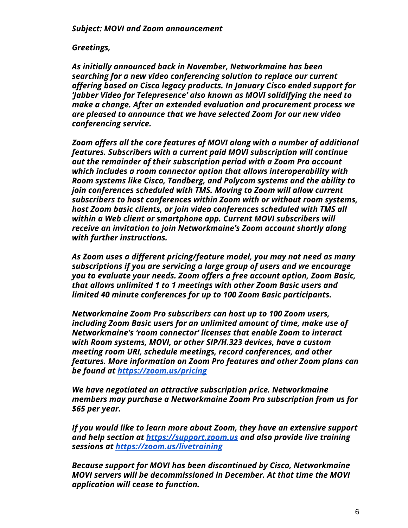### *Greetings,*

*As initially announced back in November, Networkmaine has been searching for a new video conferencing solution to replace our current offering based on Cisco legacy products. In January Cisco ended support for 'Jabber Video for Telepresence' also known as MOVI solidifying the need to make a change. After an extended evaluation and procurement process we are pleased to announce that we have selected Zoom for our new video conferencing service.*

*Zoom offers all the core features of MOVI along with a number of additional features. Subscribers with a current paid MOVI subscription will continue out the remainder of their subscription period with a Zoom Pro account which includes a room connector option that allows interoperability with Room systems like Cisco, Tandberg, and Polycom systems and the ability to join conferences scheduled with TMS. Moving to Zoom will allow current subscribers to host conferences within Zoom with or without room systems, host Zoom basic clients, or join video conferences scheduled with TMS all within a Web client or smartphone app. Current MOVI subscribers will receive an invitation to join Networkmaine's Zoom account shortly along with further instructions.*

*As Zoom uses a different pricing/feature model, you may not need as many subscriptions if you are servicing a large group of users and we encourage you to evaluate your needs. Zoom offers a free account option, Zoom Basic, that allows unlimited 1 to 1 meetings with other Zoom Basic users and limited 40 minute conferences for up to 100 Zoom Basic participants.*

*Networkmaine Zoom Pro subscribers can host up to 100 Zoom users, including Zoom Basic users for an unlimited amount of time, make use of Networkmaine's 'room connector' licenses that enable Zoom to interact with Room systems, MOVI, or other SIP/H.323 devices, have a custom meeting room URI, schedule meetings, record conferences, and other features. More information on Zoom Pro features and other Zoom plans can [be](https://zoom.us/pricing) found a[t https://zoom.us/pricing](https://zoom.us/pricing)*

*We have negotiated an attractive subscription price. Networkmaine members may purchase a Networkmaine Zoom Pro subscription from us for \$65 per year.*

*If you would like to learn more about Zoom, they have an extensive support and help section at [https://support.zoom.us](https://support.zoom.us/) and also provide live training [se](https://zoom.us/livetraining)ssions at<https://zoom.us/livetraining>*

*Because support for MOVI has been discontinued by Cisco, Networkmaine MOVI servers will be decommissioned in December. At that time the MOVI application will cease to function.*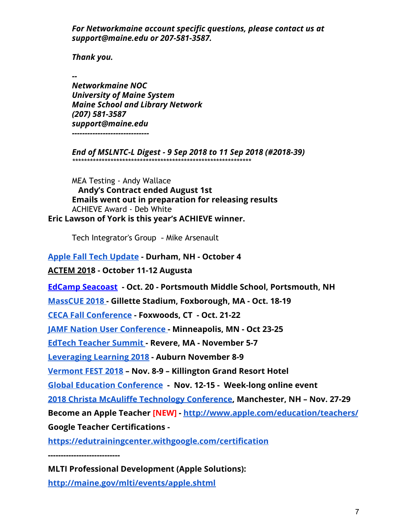*For Networkmaine account specific questions, please contact us at support@maine.edu or 207-581-3587.*

*Thank you.*

*--*

*Networkmaine NOC University of Maine System Maine School and Library Network (207) 581-3587 support@maine.edu ------------------------------*

*End of MSLNTC-L Digest - 9 Sep 2018 to 11 Sep 2018 (#2018-39) \*\*\*\*\*\*\*\*\*\*\*\*\*\*\*\*\*\*\*\*\*\*\*\*\*\*\*\*\*\*\*\*\*\*\*\*\*\*\*\*\*\*\*\*\*\*\*\*\*\*\*\*\*\*\*\*\*\*\*\*\**

MEA Testing - Andy Wallace  **Andy's Contract ended August 1st Emails went out in preparation for releasing results** ACHIEVE Award - Deb White **Eric Lawson of York is this year's ACHIEVE winner.**

Tech Integrator's Group - Mike Arsenault

**[Apple Fall Tech Update](https://events.apple.com/content/events/us_education/us/en/apple-tech-update-for-education---land.html?token=_PYKd4cS4YIldab9KPAjytIPEqs4-93BTw3cXb0DoPuqQ0SWYM4kQYIDUYZ0Vlo6FsebcZZpTkEXIUZRoN6gt7xPBuZBsKYvwy2wf4dyLPHQoOifx19cK4pqqREiYJw_&a=1&l=e) - Durham, NH - October 4**

**[ACTEM 201](http://actem.wildapricot.org/CONFERENCE)8 - October 11-12 Augusta**

**[EdCamp Seacoast](https://sites.google.com/site/edcampseacoast/) - Oct. 20 - Portsmouth Middle School, Portsmouth, NH**

**[MassCUE 2018](http://www.masscue.org/event/conference-fall-2018/) - Gillette Stadium, Foxborough, MA - Oct. 18-19**

**[CECA Fall Conference](https://sites.google.com/cecact.org/ceca/conference) - Foxwoods, CT - Oct. 21-22**

**[JAMF Nation User Conference](https://www.jamf.com/events/jamf-nation-user-conference/2018/) - Minneapolis, MN - Oct 23-25**

**[EdTech Teacher Summit](https://edtechteacher.org/) - Revere, MA - November 5-7**

**[Leveraging Learning 2018](http://institute2018.auburnschl.edu/) - Auburn November 8-9**

**[Vermont FEST 2018](http://vita-learn.org/vt-fest/) – Nov. 8-9 – Killington Grand Resort Hotel**

**[Global Education Conference](http://www.globaleducationconference.org/) - Nov. 12-15 - Week-long online event**

**[2018 Christa McAuliffe Technology Conference,](http://nhcmtc.org/cms/) Manchester, NH – Nov. 27-29**

**Become an Apple Teacher [NEW] [- http://www.apple.com/education/teachers/](http://www.apple.com/education/teachers/)**

**Google Teacher Certifications -**

**<https://edutrainingcenter.withgoogle.com/certification>**

**----------------------------**

**MLTI Professional Development (Apple Solutions): <http://maine.gov/mlti/events/apple.shtml>**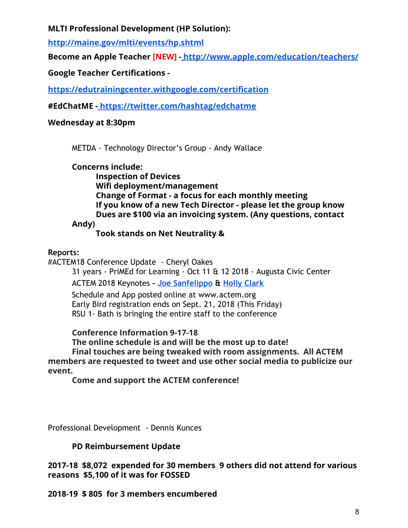### **MLTI Professional Development (HP Solution):**

**<http://maine.gov/mlti/events/hp.shtml>**

**Become an Apple Teacher [NEW] [- http://www.apple.com/education/teachers/](http://www.apple.com/education/teachers/)**

# **Google Teacher Certifications -**

**<https://edutrainingcenter.withgoogle.com/certification>**

**#EdChatME [- https://twitter.com/hashtag/edchatme](https://twitter.com/hashtag/edchatme)**

# **Wednesday at 8:30pm**

METDA - Technology Director's Group - Andy Wallace

**Concerns include:**

**Inspection of Devices Wifi deployment/management Change of Format - a focus for each monthly meeting If you know of a new Tech Director - please let the group know Dues are \$100 via an invoicing system. (Any questions, contact**

**Andy)**

# **Took stands on Net Neutrality &**

# **Reports:**

#ACTEM18 Conference Update - Cheryl Oakes

31 years - PriMEd for Learning - Oct 11 & 12 2018 - Augusta Civic Center

ACTEM 2018 Keynotes **- [Joe Sanfelippo](http://www.jsanfelippo.com/) & [Holly Clark](http://www.hollyclark.org/)**

Schedule and App posted online at www.actem.org Early Bird registration ends on Sept. 21, 2018 (This Friday) RSU 1- Bath is bringing the entire staff to the conference

**Conference Information 9-17-18**

**The online schedule is and will be the most up to date! Final touches are being tweaked with room assignments. All ACTEM members are requested to tweet and use other social media to publicize our event.**

**Come and support the ACTEM conference!**

Professional Development - Dennis Kunces

# **PD Reimbursement Update**

**2017-18 \$8,072 expended for 30 members 9 others did not attend for various reasons \$5,100 of it was for FOSSED**

**2018-19 \$ 805 for 3 members encumbered**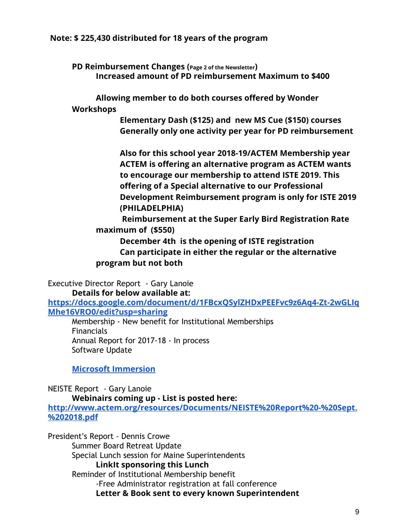### **Note: \$ 225,430 distributed for 18 years of the program**

**PD Reimbursement Changes (Page <sup>2</sup> of the Newsletter) Increased amount of PD reimbursement Maximum to \$400**

**Allowing member to do both courses offered by Wonder Workshops**

> **Elementary Dash (\$125) and new MS Cue (\$150) courses Generally only one activity per year for PD reimbursement**

**Also for this school year 2018-19/ACTEM Membership year ACTEM is offering an alternative program as ACTEM wants to encourage our membership to attend ISTE 2019. This offering of a Special alternative to our Professional Development Reimbursement program is only for ISTE 2019 (PHILADELPHIA)**

 **Reimbursement at the Super Early Bird Registration Rate maximum of (\$550)**

**December 4th is the opening of ISTE registration Can participate in either the regular or the alternative program but not both**

Executive Director Report - Gary Lanoie **Details for below available at:**

**[https://docs.google.com/document/d/1FBcxQSylZHDxPEEFvc9z6Aq4-Zt-2wGLIq](https://docs.google.com/document/d/1FBcxQSylZHDxPEEFvc9z6Aq4-Zt-2wGLIqMhe16VRO0/edit?usp=sharing) [Mhe16VRO0/edit?usp=sharing](https://docs.google.com/document/d/1FBcxQSylZHDxPEEFvc9z6Aq4-Zt-2wGLIqMhe16VRO0/edit?usp=sharing)**

Membership - New benefit for Institutional Memberships Financials Annual Report for 2017-18 - In process Software Update

**[Microsoft Immersion](http://www.actem.org/resources/Documents/Microsoft%20Immersion%20Experience.pdf)**

NEISTE Report - Gary Lanoie

**Webinairs coming up - List is posted here:**

**[http://www.actem.org/resources/Documents/NEISTE%20Report%20-%20Sept.](http://www.actem.org/resources/Documents/NEISTE%20Report%20-%20Sept.%202018.pdf) [%202018.pdf](http://www.actem.org/resources/Documents/NEISTE%20Report%20-%20Sept.%202018.pdf)**

President's Report - Dennis Crowe Summer Board Retreat Update Special Lunch session for Maine Superintendents **LinkIt sponsoring this Lunch** Reminder of Institutional Membership benefit -Free Administrator registration at fall conference **Letter & Book sent to every known Superintendent**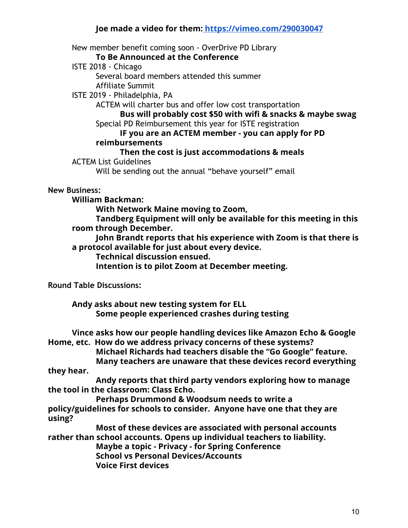### **Joe made a video for them[: https://vimeo.com/290030047](https://vimeo.com/290030047)**

New member benefit coming soon - OverDrive PD Library

**To Be Announced at the Conference**

ISTE 2018 - Chicago

Several board members attended this summer

Affiliate Summit

ISTE 2019 - Philadelphia, PA

ACTEM will charter bus and offer low cost transportation

**Bus will probably cost \$50 with wifi & snacks & maybe swag** Special PD Reimbursement this year for ISTE registration

#### **IF you are an ACTEM member - you can apply for PD reimbursements**

# **Then the cost is just accommodations & meals**

ACTEM List Guidelines

Will be sending out the annual "behave yourself" email

#### **New Business:**

**William Backman:**

**With Network Maine moving to Zoom,**

**Tandberg Equipment will only be available for this meeting in this room through December.**

**John Brandt reports that his experience with Zoom is that there is a protocol available for just about every device.**

**Technical discussion ensued.**

**Intention is to pilot Zoom at December meeting.**

**Round Table Discussions:**

**Andy asks about new testing system for ELL Some people experienced crashes during testing**

**Vince asks how our people handling devices like Amazon Echo & Google Home, etc. How do we address privacy concerns of these systems? Michael Richards had teachers disable the "Go Google" feature. Many teachers are unaware that these devices record everything they hear. Andy reports that third party vendors exploring how to manage the tool in the classroom: Class Echo. Perhaps Drummond & Woodsum needs to write a**

**policy/guidelines for schools to consider. Anyone have one that they are using?**

**Most of these devices are associated with personal accounts rather than school accounts. Opens up individual teachers to liability.**

**Maybe a topic - Privacy - for Spring Conference School vs Personal Devices/Accounts**

**Voice First devices**